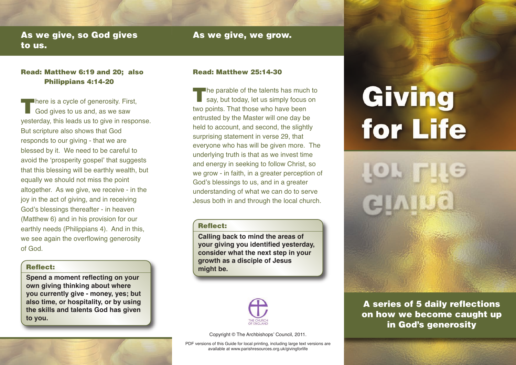# **As we give, so God gives to us.**

# **As we give, we grow.**

# **Read: Matthew 6:19 and 20; also Philippians 4:14-20**

**T**here is a cycle of generosity. First, God gives to us and, as we saw yesterday, this leads us to give in response. But scripture also shows that God responds to our giving - that we are blessed by it. We need to be careful to avoid the ʻprosperity gospel' that suggests that this blessing will be earthly wealth, but equally we should not miss the point altogether. As we give, we receive - in the joy in the act of giving, and in receiving God's blessings thereafter - in heaven (Matthew 6) and in his provision for our earthly needs (Philippians 4). And in this, we see again the overflowing generosity of God.

# **Reflect:**

**Spend a moment reflecting on your own giving thinking about where you currently give - money, yes; but also time, or hospitality, or by using the skills and talents God has given to you.**

# **Read: Matthew 25:14-30**

**T**he parable of the talents has much to say, but today, let us simply focus on two points. That those who have been entrusted by the Master will one day be held to account, and second, the slightly surprising statement in verse 29, that everyone who has will be given more. The underlying truth is that as we invest time and energy in seeking to follow Christ, so we grow - in faith, in a greater perception of God's blessings to us, and in a greater understanding of what we can do to serve Jesus both in and through the local church.

# **Reflect:**

**Calling back to mind the areas of your giving you identified yesterday, consider what the next step in your growth as a disciple of Jesus might be.**



Copyright © The Archbishops' Council, 2011.

PDF versions of this Guide for local printing, including large text versions are available at www.parishresources.org.uk/givingforlife

# Giving for Life



**A series of 5 daily reflections on how we become caught up in God's generosity**